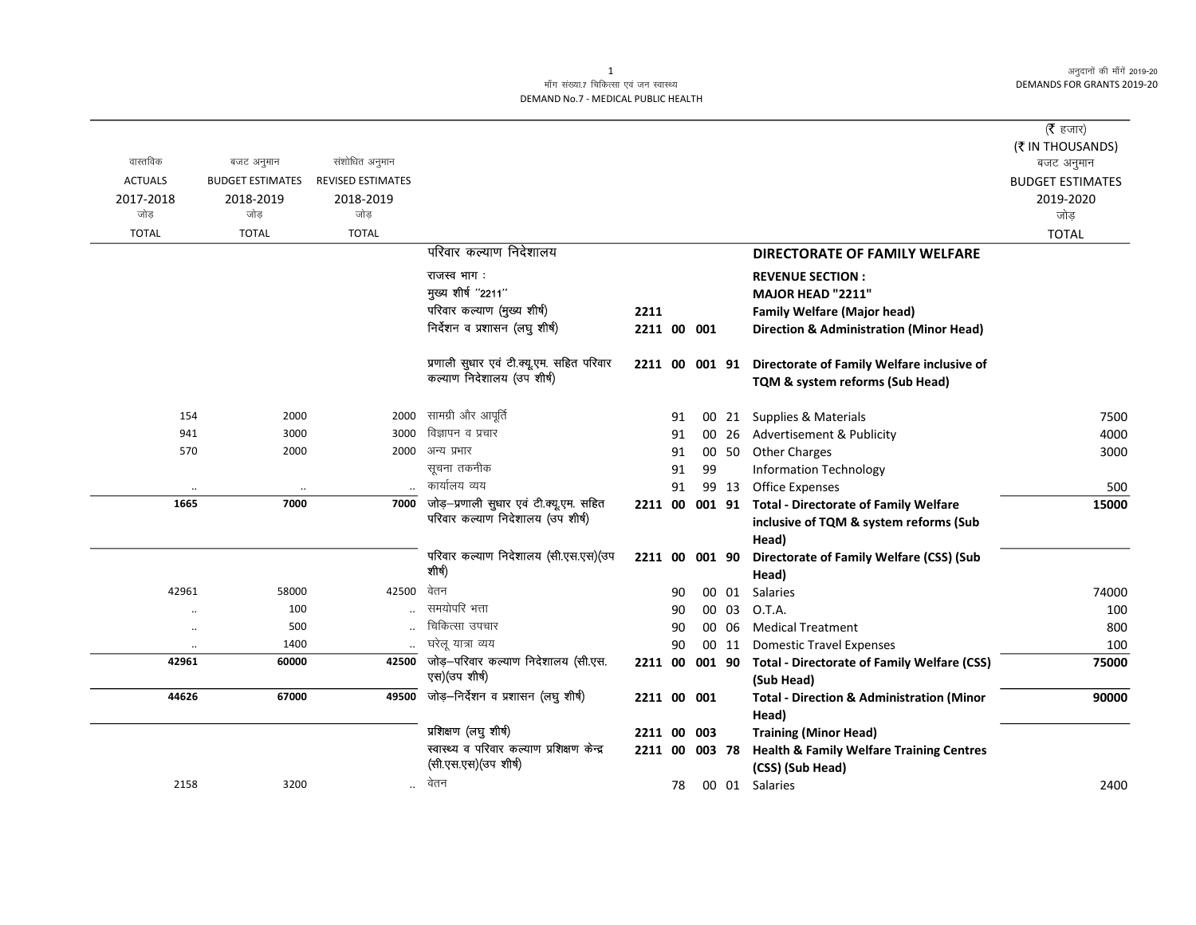$\overline{\phantom{0}}$ 

## माँग संख्या.7 चिकित्सा एवं जन स्वास्थ्य DEMAND No.7 - MEDICAL PUBLIC HEALTH

| वास्तविक             | बजट अनुमान              | संशोधित अनुमान           |                                                                              |                |    |        |       |                                                                                                         | ( $\bar{\tau}$ हजार)<br>(₹ IN THOUSANDS)<br>बजट अनुमान |
|----------------------|-------------------------|--------------------------|------------------------------------------------------------------------------|----------------|----|--------|-------|---------------------------------------------------------------------------------------------------------|--------------------------------------------------------|
| <b>ACTUALS</b>       | <b>BUDGET ESTIMATES</b> | <b>REVISED ESTIMATES</b> |                                                                              |                |    |        |       |                                                                                                         | <b>BUDGET ESTIMATES</b>                                |
| 2017-2018<br>जोड़    | 2018-2019<br>जोड़       | 2018-2019<br>जोड़        |                                                                              |                |    |        |       |                                                                                                         | 2019-2020<br>जोड़                                      |
| <b>TOTAL</b>         | <b>TOTAL</b>            | <b>TOTAL</b>             |                                                                              |                |    |        |       |                                                                                                         | <b>TOTAL</b>                                           |
|                      |                         |                          | परिवार कल्याण निदेशालय                                                       |                |    |        |       | <b>DIRECTORATE OF FAMILY WELFARE</b>                                                                    |                                                        |
|                      |                         |                          | राजस्व भाग :                                                                 |                |    |        |       | <b>REVENUE SECTION:</b>                                                                                 |                                                        |
|                      |                         |                          | मुख्य शीर्ष "2211"                                                           |                |    |        |       | <b>MAJOR HEAD "2211"</b>                                                                                |                                                        |
|                      |                         |                          | परिवार कल्याण (मुख्य शीर्ष)                                                  | 2211           |    |        |       | <b>Family Welfare (Major head)</b>                                                                      |                                                        |
|                      |                         |                          | निर्देशन व प्रशासन (लघु शीर्ष)                                               | 2211 00 001    |    |        |       | <b>Direction &amp; Administration (Minor Head)</b>                                                      |                                                        |
|                      |                         |                          | प्रणाली सुधार एवं टी.क्यू.एम. सहित परिवार<br>कल्याण निदेशालय (उप शीर्ष)      | 2211 00 001 91 |    |        |       | Directorate of Family Welfare inclusive of<br>TQM & system reforms (Sub Head)                           |                                                        |
| 154                  | 2000                    | 2000                     | सामग्री और आपूर्ति                                                           |                | 91 |        |       | 00 21 Supplies & Materials                                                                              | 7500                                                   |
| 941                  | 3000                    | 3000                     | विज्ञापन व प्रचार                                                            |                | 91 |        | 00 26 | Advertisement & Publicity                                                                               | 4000                                                   |
| 570                  | 2000                    | 2000                     | अन्य प्रभार                                                                  |                | 91 |        | 00 50 | <b>Other Charges</b>                                                                                    | 3000                                                   |
|                      |                         |                          | सूचना तकनीक                                                                  |                | 91 | 99     |       | <b>Information Technology</b>                                                                           |                                                        |
|                      |                         |                          | कार्यालय व्यय                                                                |                | 91 |        | 99 13 | Office Expenses                                                                                         | 500                                                    |
| 1665                 | 7000                    | 7000                     | जोड़-प्रणाली सुधार एवं टी.क्यू.एम. सहित<br>परिवार कल्याण निदेशालय (उप शीर्ष) |                |    |        |       | 2211 00 001 91 Total - Directorate of Family Welfare<br>inclusive of TQM & system reforms (Sub<br>Head) | 15000                                                  |
|                      |                         |                          | परिवार कल्याण निदेशालय (सी.एस.एस)(उप<br>शीर्ष)                               | 2211 00 001 90 |    |        |       | Directorate of Family Welfare (CSS) (Sub<br>Head)                                                       |                                                        |
| 42961                | 58000                   | 42500                    | वेतन                                                                         |                | 90 |        | 00 01 | Salaries                                                                                                | 74000                                                  |
| $\ddot{\phantom{0}}$ | 100                     |                          | समयोपरि भत्ता                                                                |                | 90 |        | 00 03 | O.T.A.                                                                                                  | 100                                                    |
| $\ddot{\phantom{1}}$ | 500                     |                          | चिकित्सा उपचार                                                               |                | 90 |        | 00 06 | <b>Medical Treatment</b>                                                                                | 800                                                    |
| $\ddot{\phantom{0}}$ | 1400                    |                          | घरेलू यात्रा व्यय                                                            |                | 90 |        | 00 11 | <b>Domestic Travel Expenses</b>                                                                         | 100                                                    |
| 42961                | 60000                   | 42500                    | जोड़-परिवार कल्याण निदेशालय (सी.एस.<br>एस) (उप शीर्ष)                        | 2211 00        |    | 001 90 |       | <b>Total - Directorate of Family Welfare (CSS)</b><br>(Sub Head)                                        | 75000                                                  |
| 44626                | 67000                   | 49500                    | जोड़–निर्देशन व प्रशासन (लघु शीर्ष)                                          | 2211 00 001    |    |        |       | <b>Total - Direction &amp; Administration (Minor</b><br>Head)                                           | 90000                                                  |
|                      |                         |                          | प्रशिक्षण (लघु शीर्ष)                                                        | 2211 00        |    | 003    |       | <b>Training (Minor Head)</b>                                                                            |                                                        |
|                      |                         |                          | स्वास्थ्य व परिवार कल्याण प्रशिक्षण केन्द्र<br>(सी.एस.एस) (उप शीर्ष)         | 2211 00 003 78 |    |        |       | <b>Health &amp; Family Welfare Training Centres</b><br>(CSS) (Sub Head)                                 |                                                        |
| 2158                 | 3200                    | $\ddotsc$                | वेतन                                                                         |                | 78 |        |       | 00 01 Salaries                                                                                          | 2400                                                   |

1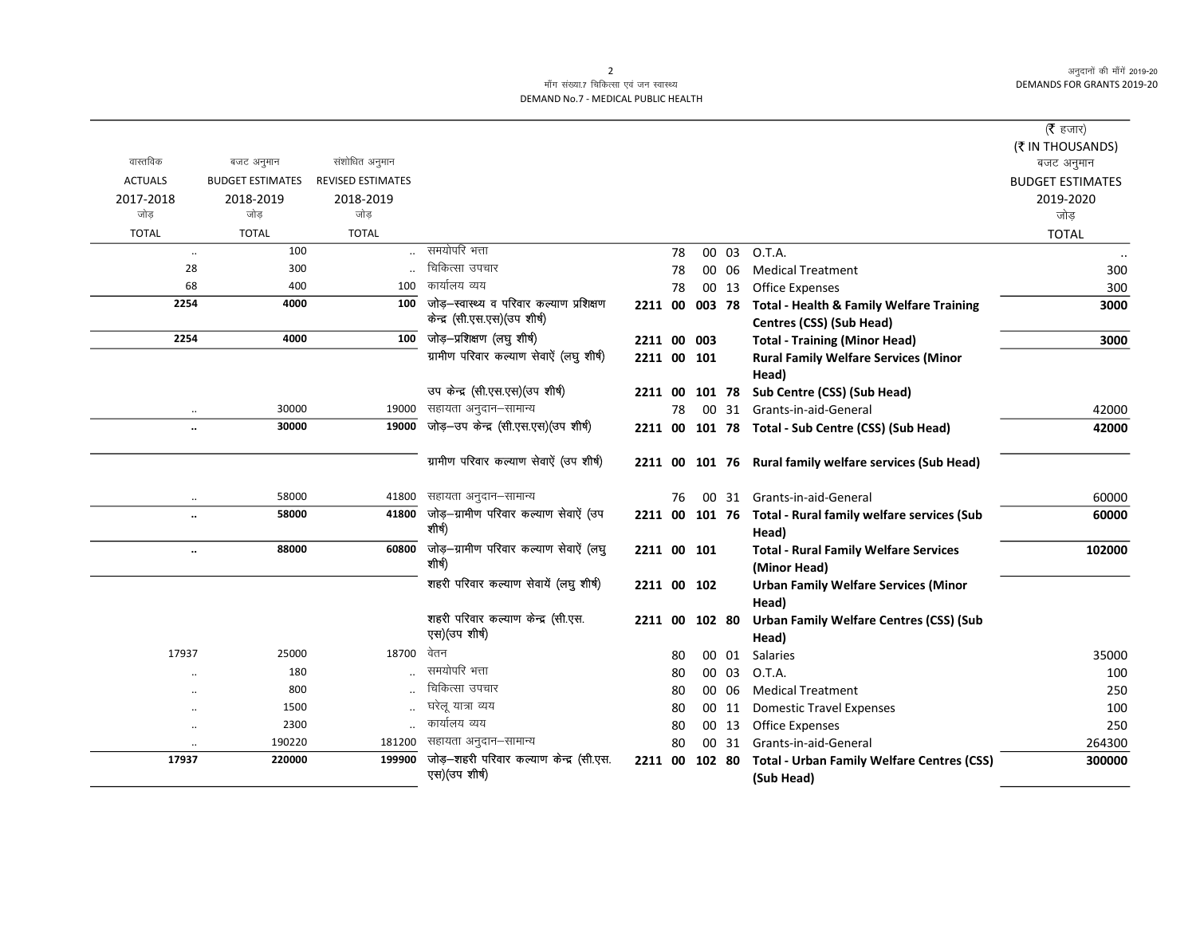## माँग संख्या.7 चिकित्सा एवं जन स्वास्थ्य DEMAND No.7 - MEDICAL PUBLIC HEALTH

| वास्तविक       | बजट अनुमान              | संशोधित अनुमान           |                                                                           |                |    |        |       |                                                                                 | ( $\bar{\tau}$ हजार)<br>(₹ IN THOUSANDS)<br>बजट अनुमान |
|----------------|-------------------------|--------------------------|---------------------------------------------------------------------------|----------------|----|--------|-------|---------------------------------------------------------------------------------|--------------------------------------------------------|
| <b>ACTUALS</b> | <b>BUDGET ESTIMATES</b> | <b>REVISED ESTIMATES</b> |                                                                           |                |    |        |       |                                                                                 | <b>BUDGET ESTIMATES</b>                                |
| 2017-2018      | 2018-2019               | 2018-2019                |                                                                           |                |    |        |       |                                                                                 | 2019-2020                                              |
| जोड            | जोड                     | जोड़                     |                                                                           |                |    |        |       |                                                                                 | जोड़                                                   |
| <b>TOTAL</b>   | <b>TOTAL</b>            | <b>TOTAL</b>             |                                                                           |                |    |        |       |                                                                                 | <b>TOTAL</b>                                           |
| $\ldots$       | 100                     |                          | समयोपरि भत्ता                                                             |                | 78 |        | 00 03 | O.T.A.                                                                          |                                                        |
| 28             | 300                     |                          | चिकित्सा उपचार                                                            |                | 78 |        | 00 06 | <b>Medical Treatment</b>                                                        | 300                                                    |
| 68             | 400                     | 100                      | कार्यालय व्यय                                                             |                | 78 |        | 00 13 | <b>Office Expenses</b>                                                          | 300                                                    |
| 2254           | 4000                    | 100                      | जोड़-स्वास्थ्य व परिवार कल्याण प्रशिक्षण<br>केन्द्र (सी.एस.एस) (उप शीर्ष) | 2211 00 003 78 |    |        |       | <b>Total - Health &amp; Family Welfare Training</b><br>Centres (CSS) (Sub Head) | 3000                                                   |
| 2254           | 4000                    | 100                      | जोड़—प्रशिक्षण (लघु शीर्ष)                                                | 2211 00 003    |    |        |       | <b>Total - Training (Minor Head)</b>                                            | 3000                                                   |
|                |                         |                          | ग्रामीण परिवार कल्याण सेवाऐं (लघु शीर्ष)                                  | 2211 00 101    |    |        |       | <b>Rural Family Welfare Services (Minor</b><br>Head)                            |                                                        |
|                |                         |                          | उप केन्द्र (सी.एस.एस) (उप शीर्ष)                                          | 2211 00        |    | 101 78 |       | Sub Centre (CSS) (Sub Head)                                                     |                                                        |
| $\ddotsc$      | 30000                   | 19000                    | सहायता अनुदान–सामान्य                                                     |                | 78 |        |       | 00 31 Grants-in-aid-General                                                     | 42000                                                  |
|                | 30000                   | 19000                    | जोड़-उप केन्द्र (सी.एस.एस)(उप शीर्ष)                                      |                |    |        |       | 2211 00 101 78 Total - Sub Centre (CSS) (Sub Head)                              | 42000                                                  |
|                |                         |                          | ग्रामीण परिवार कल्याण सेवाऐं (उप शीर्ष)                                   |                |    |        |       | 2211 00 101 76 Rural family welfare services (Sub Head)                         |                                                        |
| $\cdot\cdot$   | 58000                   | 41800                    | सहायता अनुदान–सामान्य                                                     |                | 76 |        |       | 00 31 Grants-in-aid-General                                                     | 60000                                                  |
| $\ddotsc$      | 58000                   | 41800                    | जोड़-ग्रामीण परिवार कल्याण सेवाऐं (उप<br>शीर्ष)                           |                |    |        |       | 2211 00 101 76 Total - Rural family welfare services (Sub<br>Head)              | 60000                                                  |
| $\ddotsc$      | 88000                   | 60800                    | जोड़-ग्रामीण परिवार कल्याण सेवाऐं (लघु<br>शीर्ष)                          | 2211 00 101    |    |        |       | <b>Total - Rural Family Welfare Services</b><br>(Minor Head)                    | 102000                                                 |
|                |                         |                          | शहरी परिवार कल्याण सेवायें (लघु शीर्ष)                                    | 2211 00 102    |    |        |       | <b>Urban Family Welfare Services (Minor</b><br>Head)                            |                                                        |
|                |                         |                          | शहरी परिवार कल्याण केन्द्र (सी.एस.<br>एस) (उप शीर्ष)                      | 2211 00 102 80 |    |        |       | <b>Urban Family Welfare Centres (CSS) (Sub</b><br>Head)                         |                                                        |
| 17937          | 25000                   | 18700                    | वेतन                                                                      |                | 80 |        | 00 01 | Salaries                                                                        | 35000                                                  |
|                | 180                     |                          | समयोपरि भत्ता                                                             |                | 80 |        | 00 03 | O.T.A.                                                                          | 100                                                    |
| $\ddotsc$      | 800                     |                          | चिकित्सा उपचार                                                            |                | 80 |        | 00 06 | <b>Medical Treatment</b>                                                        | 250                                                    |
| $\ddotsc$      | 1500                    |                          | घरेलू यात्रा व्यय                                                         |                | 80 |        | 00 11 | <b>Domestic Travel Expenses</b>                                                 | 100                                                    |
|                | 2300                    |                          | कार्यालय व्यय                                                             |                | 80 |        | 00 13 | <b>Office Expenses</b>                                                          | 250                                                    |
|                | 190220                  | 181200                   | सहायता अनुदान–सामान्य                                                     |                | 80 |        | 00 31 | Grants-in-aid-General                                                           | 264300                                                 |
| 17937          | 220000                  | 199900                   | जोड़-शहरी परिवार कल्याण केन्द्र (सी.एस.<br>एस) (उप शीर्ष)                 | 2211 00        |    | 102 80 |       | <b>Total - Urban Family Welfare Centres (CSS)</b><br>(Sub Head)                 | 300000                                                 |

2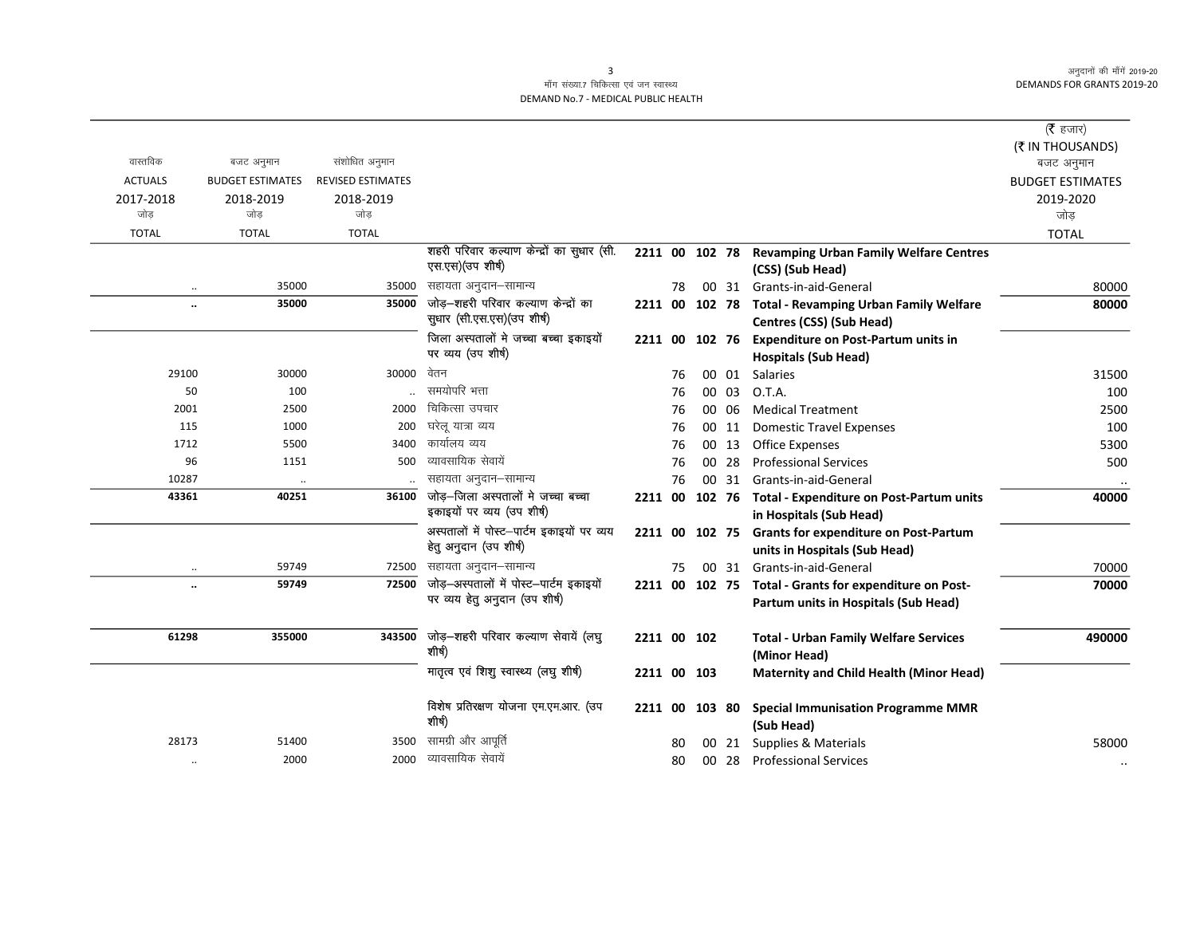$\overline{\phantom{0}}$ 

## माँग संख्या.7 चिकित्सा एवं जन स्वास्थ्य DEMAND No.7 - MEDICAL PUBLIC HEALTH

|                      |                         |                          |                                                |             |    |        |       |                                                        | ( $\bar{\tau}$ हजार)    |
|----------------------|-------------------------|--------------------------|------------------------------------------------|-------------|----|--------|-------|--------------------------------------------------------|-------------------------|
|                      |                         |                          |                                                |             |    |        |       |                                                        | (₹ IN THOUSANDS)        |
| वास्तविक             | बजट अनुमान              | संशोधित अनुमान           |                                                |             |    |        |       |                                                        | बजट अनुमान              |
| <b>ACTUALS</b>       | <b>BUDGET ESTIMATES</b> | <b>REVISED ESTIMATES</b> |                                                |             |    |        |       |                                                        | <b>BUDGET ESTIMATES</b> |
| 2017-2018            | 2018-2019               | 2018-2019                |                                                |             |    |        |       |                                                        | 2019-2020               |
| जोड                  | जोड                     | जोड                      |                                                |             |    |        |       |                                                        | जोड                     |
| <b>TOTAL</b>         | <b>TOTAL</b>            | <b>TOTAL</b>             |                                                |             |    |        |       |                                                        | <b>TOTAL</b>            |
|                      |                         |                          | शहरी परिवार कल्याण केन्द्रों का सुधार (सी.     |             |    |        |       | 2211 00 102 78 Revamping Urban Family Welfare Centres  |                         |
|                      |                         |                          | एस.एस)(उप शीर्ष)                               |             |    |        |       | (CSS) (Sub Head)                                       |                         |
|                      | 35000                   | 35000                    | सहायता अनुदान–सामान्य                          |             | 78 |        | 00 31 | Grants-in-aid-General                                  | 80000                   |
| $\ddot{\phantom{0}}$ | 35000                   | 35000                    | जोड़-शहरी परिवार कल्याण केन्द्रों का           | 2211 00     |    | 102 78 |       | <b>Total - Revamping Urban Family Welfare</b>          | 80000                   |
|                      |                         |                          | सुधार (सी.एस.एस) (उप शीर्ष)                    |             |    |        |       | Centres (CSS) (Sub Head)                               |                         |
|                      |                         |                          | जिला अस्पतालों मे जच्चा बच्चा इकाइयों          | 2211 00     |    |        |       | 102 76 Expenditure on Post-Partum units in             |                         |
|                      |                         |                          | पर व्यय (उप शीर्ष)                             |             |    |        |       | <b>Hospitals (Sub Head)</b>                            |                         |
| 29100                | 30000                   | 30000                    | वेतन                                           |             | 76 |        | 00 01 | <b>Salaries</b>                                        | 31500                   |
| 50                   | 100                     |                          | समयोपरि भत्ता                                  |             | 76 |        | 00 03 | O.T.A.                                                 | 100                     |
| 2001                 | 2500                    | 2000                     | चिकित्सा उपचार                                 |             | 76 |        | 00 06 | <b>Medical Treatment</b>                               | 2500                    |
| 115                  | 1000                    | 200                      | घरेलू यात्रा व्यय                              |             | 76 |        | 00 11 | <b>Domestic Travel Expenses</b>                        | 100                     |
| 1712                 | 5500                    | 3400                     | कार्यालय व्यय                                  |             | 76 |        | 00 13 | <b>Office Expenses</b>                                 | 5300                    |
| 96                   | 1151                    | 500                      | व्यावसायिक सेवायें                             |             | 76 | 00     | 28    | <b>Professional Services</b>                           | 500                     |
| 10287                | $\ddotsc$               |                          | सहायता अनुदान–सामान्य                          |             | 76 |        | 00 31 | Grants-in-aid-General                                  |                         |
| 43361                | 40251                   | 36100                    | जोड़-जिला अस्पतालों मे जच्चा बच्चा             | 2211 00     |    |        |       | 102 76 Total - Expenditure on Post-Partum units        | 40000                   |
|                      |                         |                          | इकाइयों पर व्यय (उप शीर्ष)                     |             |    |        |       | in Hospitals (Sub Head)                                |                         |
|                      |                         |                          | अस्पतालों में पोस्ट-पार्टम इकाइयों पर व्यय     | 2211 00     |    | 102 75 |       | <b>Grants for expenditure on Post-Partum</b>           |                         |
|                      |                         |                          | हेतु अनुदान (उप शीर्ष)                         |             |    |        |       | units in Hospitals (Sub Head)                          |                         |
| $\ddotsc$            | 59749                   | 72500                    | सहायता अनुदान–सामान्य                          |             | 75 |        |       | 00 31 Grants-in-aid-General                            | 70000                   |
|                      | 59749                   | 72500                    | जोड़-अस्पतालों में पोस्ट-पार्टम इकाइयों        |             |    |        |       | 2211 00 102 75 Total - Grants for expenditure on Post- | 70000                   |
|                      |                         |                          | पर व्यय हेतु अनुदान (उप शीर्ष)                 |             |    |        |       | Partum units in Hospitals (Sub Head)                   |                         |
|                      |                         |                          |                                                |             |    |        |       |                                                        |                         |
| 61298                | 355000                  | 343500                   | जोड़–शहरी परिवार कल्याण सेवायें (लघु<br>शीर्ष) | 2211 00 102 |    |        |       | <b>Total - Urban Family Welfare Services</b>           | 490000                  |
|                      |                         |                          |                                                |             |    |        |       | (Minor Head)                                           |                         |
|                      |                         |                          | मातृत्व एवं शिशु स्वास्थ्य (लघु शीर्ष)         | 2211 00 103 |    |        |       | Maternity and Child Health (Minor Head)                |                         |
|                      |                         |                          | विशेष प्रतिरक्षण योजना एम.एम.आर. (उप           | 2211 00     |    | 103 80 |       | <b>Special Immunisation Programme MMR</b>              |                         |
|                      |                         |                          | शीर्ष)                                         |             |    |        |       | (Sub Head)                                             |                         |
| 28173                | 51400                   | 3500                     | सामग्री और आपूर्ति                             |             | 80 |        | 00 21 | Supplies & Materials                                   | 58000                   |
| $\ddotsc$            | 2000                    | 2000                     | व्यावसायिक सेवायें                             |             | 80 |        |       | 00 28 Professional Services                            |                         |